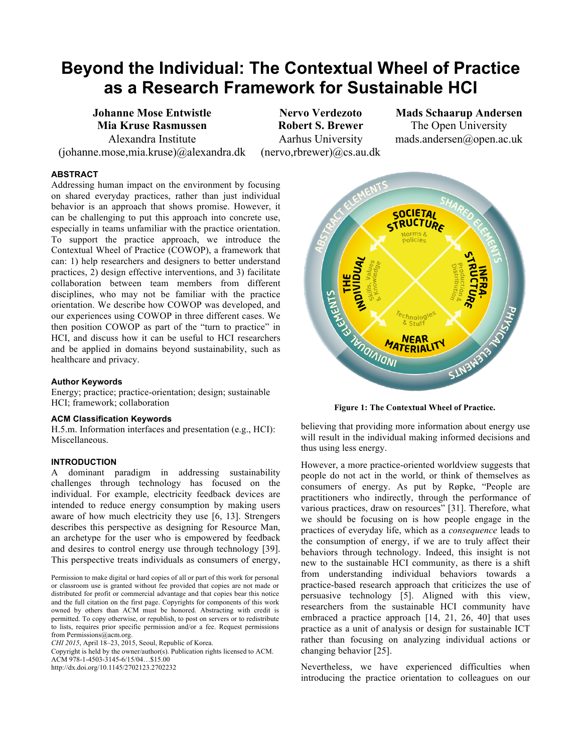# **Beyond the Individual: The Contextual Wheel of Practice as a Research Framework for Sustainable HCI**

# **Johanne Mose Entwistle Mia Kruse Rasmussen** Alexandra Institute

(johanne.mose,mia.kruse)@alexandra.dk

# **Nervo Verdezoto Robert S. Brewer** Aarhus University  $(nervo,rbrewer)$ @cs.au.dk

**Mads Schaarup Andersen** The Open University mads.andersen@open.ac.uk

# **ABSTRACT**

Addressing human impact on the environment by focusing on shared everyday practices, rather than just individual behavior is an approach that shows promise. However, it can be challenging to put this approach into concrete use, especially in teams unfamiliar with the practice orientation. To support the practice approach, we introduce the Contextual Wheel of Practice (COWOP), a framework that can: 1) help researchers and designers to better understand practices, 2) design effective interventions, and 3) facilitate collaboration between team members from different disciplines, who may not be familiar with the practice orientation. We describe how COWOP was developed, and our experiences using COWOP in three different cases. We then position COWOP as part of the "turn to practice" in HCI, and discuss how it can be useful to HCI researchers and be applied in domains beyond sustainability, such as healthcare and privacy.

#### **Author Keywords**

Energy; practice; practice-orientation; design; sustainable HCI; framework; collaboration

# **ACM Classification Keywords**

H.5.m. Information interfaces and presentation (e.g., HCI): Miscellaneous.

# **INTRODUCTION**

A dominant paradigm in addressing sustainability challenges through technology has focused on the individual. For example, electricity feedback devices are intended to reduce energy consumption by making users aware of how much electricity they use [6, 13]. Strengers describes this perspective as designing for Resource Man, an archetype for the user who is empowered by feedback and desires to control energy use through technology [39]. This perspective treats individuals as consumers of energy,

Permission to make digital or hard copies of all or part of this work for personal or classroom use is granted without fee provided that copies are not made or distributed for profit or commercial advantage and that copies bear this notice and the full citation on the first page. Copyrights for components of this work owned by others than ACM must be honored. Abstracting with credit is permitted. To copy otherwise, or republish, to post on servers or to redistribute to lists, requires prior specific permission and/or a fee. Request permissions from Permissions@acm.org.

*CHI 2015*, April 18–23, 2015, Seoul, Republic of Korea.

Copyright is held by the owner/author(s). Publication rights licensed to ACM. ACM 978-1-4503-3145-6/15/04…\$15.00

http://dx.doi.org/10.1145/2702123.2702232



**Figure 1: The Contextual Wheel of Practice.**

believing that providing more information about energy use will result in the individual making informed decisions and thus using less energy.

However, a more practice-oriented worldview suggests that people do not act in the world, or think of themselves as consumers of energy. As put by Røpke, "People are practitioners who indirectly, through the performance of various practices, draw on resources" [31]. Therefore, what we should be focusing on is how people engage in the practices of everyday life, which as a *consequence* leads to the consumption of energy, if we are to truly affect their behaviors through technology. Indeed, this insight is not new to the sustainable HCI community, as there is a shift from understanding individual behaviors towards a practice-based research approach that criticizes the use of persuasive technology [5]. Aligned with this view, researchers from the sustainable HCI community have embraced a practice approach [14, 21, 26, 40] that uses practice as a unit of analysis or design for sustainable ICT rather than focusing on analyzing individual actions or changing behavior [25].

Nevertheless, we have experienced difficulties when introducing the practice orientation to colleagues on our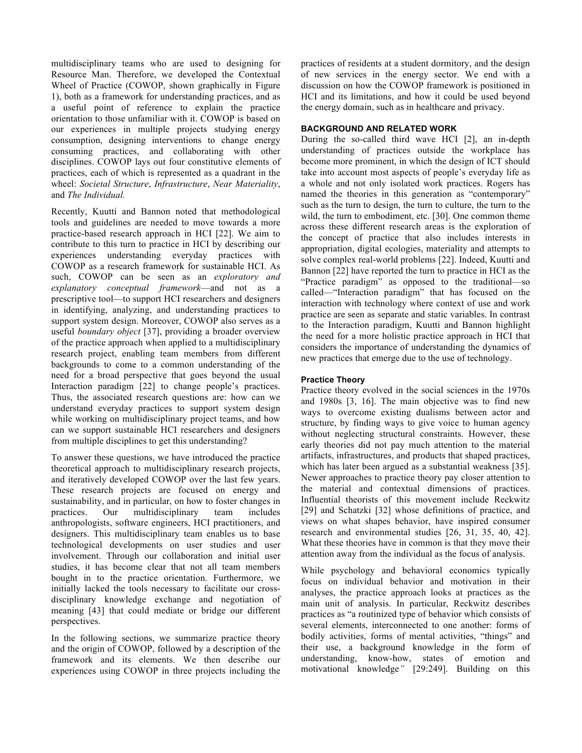multidisciplinary teams who are used to designing for Resource Man. Therefore, we developed the Contextual Wheel of Practice (COWOP, shown graphically in Figure 1), both as a framework for understanding practices, and as a useful point of reference to explain the practice orientation to those unfamiliar with it. COWOP is based on our experiences in multiple projects studying energy consumption, designing interventions to change energy consuming practices, and collaborating with other disciplines. COWOP lays out four constitutive elements of practices, each of which is represented as a quadrant in the wheel: *Societal Structure*, *Infrastructure*, *Near Materiality*, and *The Individual.*

Recently, Kuutti and Bannon noted that methodological tools and guidelines are needed to move towards a more practice-based research approach in HCI [22]. We aim to contribute to this turn to practice in HCI by describing our experiences understanding everyday practices with COWOP as a research framework for sustainable HCI. As such, COWOP can be seen as an *exploratory and explanatory conceptual framework*—and not as a prescriptive tool—to support HCI researchers and designers in identifying, analyzing, and understanding practices to support system design. Moreover, COWOP also serves as a useful *boundary object* [37], providing a broader overview of the practice approach when applied to a multidisciplinary research project, enabling team members from different backgrounds to come to a common understanding of the need for a broad perspective that goes beyond the usual Interaction paradigm [22] to change people's practices. Thus, the associated research questions are: how can we understand everyday practices to support system design while working on multidisciplinary project teams, and how can we support sustainable HCI researchers and designers from multiple disciplines to get this understanding?

To answer these questions, we have introduced the practice theoretical approach to multidisciplinary research projects, and iteratively developed COWOP over the last few years. These research projects are focused on energy and sustainability, and in particular, on how to foster changes in practices. Our multidisciplinary team includes anthropologists, software engineers, HCI practitioners, and designers. This multidisciplinary team enables us to base technological developments on user studies and user involvement. Through our collaboration and initial user studies, it has become clear that not all team members bought in to the practice orientation. Furthermore, we initially lacked the tools necessary to facilitate our crossdisciplinary knowledge exchange and negotiation of meaning [43] that could mediate or bridge our different perspectives.

In the following sections, we summarize practice theory and the origin of COWOP, followed by a description of the framework and its elements. We then describe our experiences using COWOP in three projects including the

practices of residents at a student dormitory, and the design of new services in the energy sector. We end with a discussion on how the COWOP framework is positioned in HCI and its limitations, and how it could be used beyond the energy domain, such as in healthcare and privacy.

# **BACKGROUND AND RELATED WORK**

During the so-called third wave HCI [2], an in-depth understanding of practices outside the workplace has become more prominent, in which the design of ICT should take into account most aspects of people's everyday life as a whole and not only isolated work practices. Rogers has named the theories in this generation as "contemporary" such as the turn to design, the turn to culture, the turn to the wild, the turn to embodiment, etc. [30]. One common theme across these different research areas is the exploration of the concept of practice that also includes interests in appropriation, digital ecologies, materiality and attempts to solve complex real-world problems [22]. Indeed, Kuutti and Bannon [22] have reported the turn to practice in HCI as the "Practice paradigm" as opposed to the traditional—so called—"Interaction paradigm" that has focused on the interaction with technology where context of use and work practice are seen as separate and static variables. In contrast to the Interaction paradigm, Kuutti and Bannon highlight the need for a more holistic practice approach in HCI that considers the importance of understanding the dynamics of new practices that emerge due to the use of technology.

## **Practice Theory**

Practice theory evolved in the social sciences in the 1970s and 1980s [3, 16]. The main objective was to find new ways to overcome existing dualisms between actor and structure, by finding ways to give voice to human agency without neglecting structural constraints. However, these early theories did not pay much attention to the material artifacts, infrastructures, and products that shaped practices, which has later been argued as a substantial weakness [35]. Newer approaches to practice theory pay closer attention to the material and contextual dimensions of practices. Influential theorists of this movement include Reckwitz [29] and Schatzki [32] whose definitions of practice, and views on what shapes behavior, have inspired consumer research and environmental studies [26, 31, 35, 40, 42]. What these theories have in common is that they move their attention away from the individual as the focus of analysis.

While psychology and behavioral economics typically focus on individual behavior and motivation in their analyses, the practice approach looks at practices as the main unit of analysis. In particular, Reckwitz describes practices as "a routinized type of behavior which consists of several elements, interconnected to one another: forms of bodily activities, forms of mental activities, "things" and their use, a background knowledge in the form of understanding, know-how, states of emotion and motivational knowledge*"* [29:249]. Building on this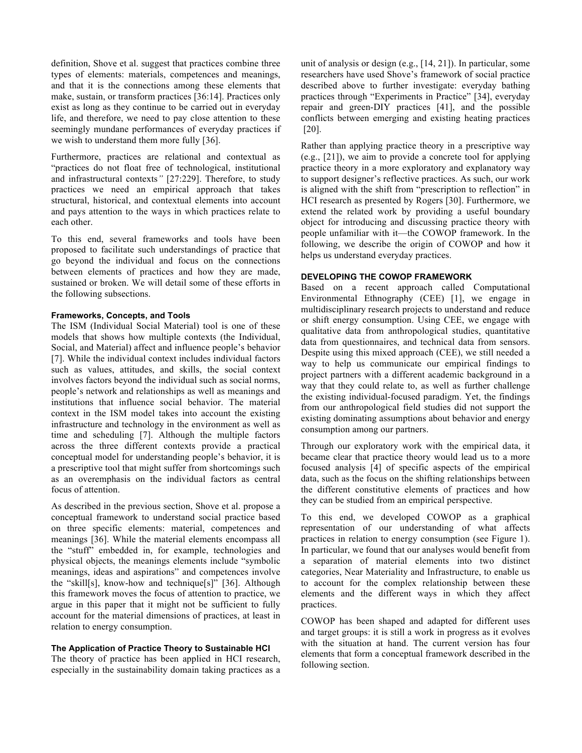definition, Shove et al. suggest that practices combine three types of elements: materials, competences and meanings, and that it is the connections among these elements that make, sustain, or transform practices [36:14]. Practices only exist as long as they continue to be carried out in everyday life, and therefore, we need to pay close attention to these seemingly mundane performances of everyday practices if we wish to understand them more fully [36].

Furthermore, practices are relational and contextual as "practices do not float free of technological, institutional and infrastructural contexts*"* [27:229]. Therefore, to study practices we need an empirical approach that takes structural, historical, and contextual elements into account and pays attention to the ways in which practices relate to each other.

To this end, several frameworks and tools have been proposed to facilitate such understandings of practice that go beyond the individual and focus on the connections between elements of practices and how they are made, sustained or broken. We will detail some of these efforts in the following subsections.

#### **Frameworks, Concepts, and Tools**

The ISM (Individual Social Material) tool is one of these models that shows how multiple contexts (the Individual, Social, and Material) affect and influence people's behavior [7]. While the individual context includes individual factors such as values, attitudes, and skills, the social context involves factors beyond the individual such as social norms, people's network and relationships as well as meanings and institutions that influence social behavior. The material context in the ISM model takes into account the existing infrastructure and technology in the environment as well as time and scheduling [7]. Although the multiple factors across the three different contexts provide a practical conceptual model for understanding people's behavior, it is a prescriptive tool that might suffer from shortcomings such as an overemphasis on the individual factors as central focus of attention.

As described in the previous section, Shove et al. propose a conceptual framework to understand social practice based on three specific elements: material, competences and meanings [36]. While the material elements encompass all the "stuff" embedded in, for example, technologies and physical objects, the meanings elements include "symbolic meanings, ideas and aspirations" and competences involve the "skill[s], know-how and technique[s]" [36]. Although this framework moves the focus of attention to practice, we argue in this paper that it might not be sufficient to fully account for the material dimensions of practices, at least in relation to energy consumption.

#### **The Application of Practice Theory to Sustainable HCI**

The theory of practice has been applied in HCI research, especially in the sustainability domain taking practices as a unit of analysis or design (e.g., [14, 21]). In particular, some researchers have used Shove's framework of social practice described above to further investigate: everyday bathing practices through "Experiments in Practice" [34], everyday repair and green-DIY practices [41], and the possible conflicts between emerging and existing heating practices [20].

Rather than applying practice theory in a prescriptive way (e.g., [21]), we aim to provide a concrete tool for applying practice theory in a more exploratory and explanatory way to support designer's reflective practices. As such, our work is aligned with the shift from "prescription to reflection" in HCI research as presented by Rogers [30]. Furthermore, we extend the related work by providing a useful boundary object for introducing and discussing practice theory with people unfamiliar with it—the COWOP framework. In the following, we describe the origin of COWOP and how it helps us understand everyday practices.

#### **DEVELOPING THE COWOP FRAMEWORK**

Based on a recent approach called Computational Environmental Ethnography (CEE) [1], we engage in multidisciplinary research projects to understand and reduce or shift energy consumption. Using CEE, we engage with qualitative data from anthropological studies, quantitative data from questionnaires, and technical data from sensors. Despite using this mixed approach (CEE), we still needed a way to help us communicate our empirical findings to project partners with a different academic background in a way that they could relate to, as well as further challenge the existing individual-focused paradigm. Yet, the findings from our anthropological field studies did not support the existing dominating assumptions about behavior and energy consumption among our partners.

Through our exploratory work with the empirical data, it became clear that practice theory would lead us to a more focused analysis [4] of specific aspects of the empirical data, such as the focus on the shifting relationships between the different constitutive elements of practices and how they can be studied from an empirical perspective.

To this end, we developed COWOP as a graphical representation of our understanding of what affects practices in relation to energy consumption (see Figure 1). In particular, we found that our analyses would benefit from a separation of material elements into two distinct categories, Near Materiality and Infrastructure, to enable us to account for the complex relationship between these elements and the different ways in which they affect practices.

COWOP has been shaped and adapted for different uses and target groups: it is still a work in progress as it evolves with the situation at hand. The current version has four elements that form a conceptual framework described in the following section.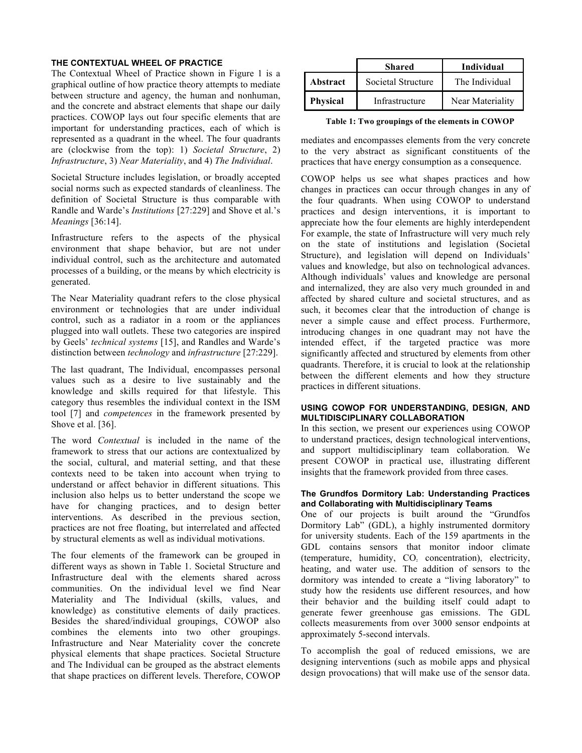#### **THE CONTEXTUAL WHEEL OF PRACTICE**

The Contextual Wheel of Practice shown in Figure 1 is a graphical outline of how practice theory attempts to mediate between structure and agency, the human and nonhuman, and the concrete and abstract elements that shape our daily practices. COWOP lays out four specific elements that are important for understanding practices, each of which is represented as a quadrant in the wheel. The four quadrants are (clockwise from the top): 1) *Societal Structure*, 2) *Infrastructure*, 3) *Near Materiality*, and 4) *The Individual*.

Societal Structure includes legislation, or broadly accepted social norms such as expected standards of cleanliness. The definition of Societal Structure is thus comparable with Randle and Warde's *Institutions* [27:229] and Shove et al.'s *Meanings* [36:14].

Infrastructure refers to the aspects of the physical environment that shape behavior, but are not under individual control, such as the architecture and automated processes of a building, or the means by which electricity is generated.

The Near Materiality quadrant refers to the close physical environment or technologies that are under individual control, such as a radiator in a room or the appliances plugged into wall outlets. These two categories are inspired by Geels' *technical systems* [15], and Randles and Warde's distinction between *technology* and *infrastructure* [27:229].

The last quadrant, The Individual, encompasses personal values such as a desire to live sustainably and the knowledge and skills required for that lifestyle. This category thus resembles the individual context in the ISM tool [7] and *competences* in the framework presented by Shove et al. [36].

The word *Contextual* is included in the name of the framework to stress that our actions are contextualized by the social, cultural, and material setting, and that these contexts need to be taken into account when trying to understand or affect behavior in different situations. This inclusion also helps us to better understand the scope we have for changing practices, and to design better interventions. As described in the previous section, practices are not free floating, but interrelated and affected by structural elements as well as individual motivations.

The four elements of the framework can be grouped in different ways as shown in Table 1. Societal Structure and Infrastructure deal with the elements shared across communities. On the individual level we find Near Materiality and The Individual (skills, values, and knowledge) as constitutive elements of daily practices. Besides the shared/individual groupings, COWOP also combines the elements into two other groupings. Infrastructure and Near Materiality cover the concrete physical elements that shape practices. Societal Structure and The Individual can be grouped as the abstract elements that shape practices on different levels. Therefore, COWOP

|                 | Shared             | Individual       |
|-----------------|--------------------|------------------|
| <b>Abstract</b> | Societal Structure | The Individual   |
| <b>Physical</b> | Infrastructure     | Near Materiality |

**Table 1: Two groupings of the elements in COWOP**

mediates and encompasses elements from the very concrete to the very abstract as significant constituents of the practices that have energy consumption as a consequence.

COWOP helps us see what shapes practices and how changes in practices can occur through changes in any of the four quadrants. When using COWOP to understand practices and design interventions, it is important to appreciate how the four elements are highly interdependent For example, the state of Infrastructure will very much rely on the state of institutions and legislation (Societal Structure), and legislation will depend on Individuals' values and knowledge, but also on technological advances. Although individuals' values and knowledge are personal and internalized, they are also very much grounded in and affected by shared culture and societal structures, and as such, it becomes clear that the introduction of change is never a simple cause and effect process. Furthermore, introducing changes in one quadrant may not have the intended effect, if the targeted practice was more significantly affected and structured by elements from other quadrants. Therefore, it is crucial to look at the relationship between the different elements and how they structure practices in different situations.

#### **USING COWOP FOR UNDERSTANDING, DESIGN, AND MULTIDISCIPLINARY COLLABORATION**

In this section, we present our experiences using COWOP to understand practices, design technological interventions, and support multidisciplinary team collaboration. We present COWOP in practical use, illustrating different insights that the framework provided from three cases.

#### **The Grundfos Dormitory Lab: Understanding Practices and Collaborating with Multidisciplinary Teams**

One of our projects is built around the "Grundfos Dormitory Lab" (GDL), a highly instrumented dormitory for university students. Each of the 159 apartments in the GDL contains sensors that monitor indoor climate (temperature, humidity,  $CO<sub>2</sub>$  concentration), electricity, heating, and water use. The addition of sensors to the dormitory was intended to create a "living laboratory" to study how the residents use different resources, and how their behavior and the building itself could adapt to generate fewer greenhouse gas emissions. The GDL collects measurements from over 3000 sensor endpoints at approximately 5-second intervals.

To accomplish the goal of reduced emissions, we are designing interventions (such as mobile apps and physical design provocations) that will make use of the sensor data.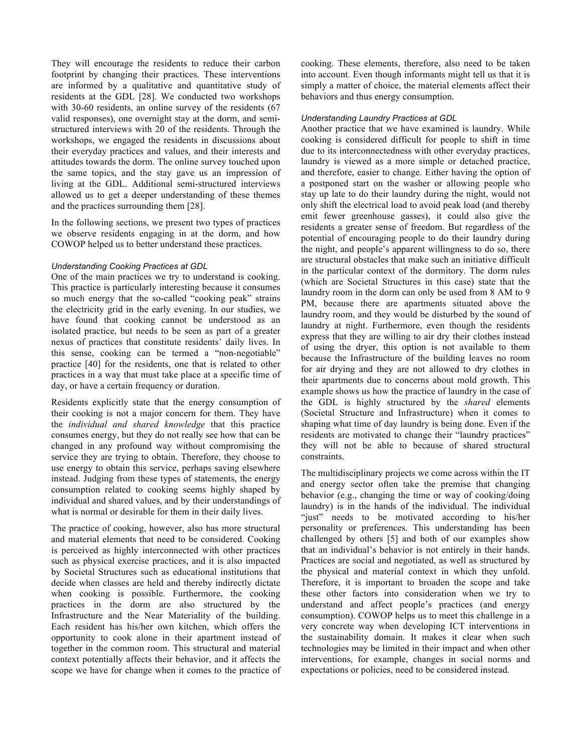They will encourage the residents to reduce their carbon footprint by changing their practices. These interventions are informed by a qualitative and quantitative study of residents at the GDL [28]. We conducted two workshops with 30-60 residents, an online survey of the residents (67) valid responses), one overnight stay at the dorm, and semistructured interviews with 20 of the residents. Through the workshops, we engaged the residents in discussions about their everyday practices and values, and their interests and attitudes towards the dorm. The online survey touched upon the same topics, and the stay gave us an impression of living at the GDL. Additional semi-structured interviews allowed us to get a deeper understanding of these themes and the practices surrounding them [28].

In the following sections, we present two types of practices we observe residents engaging in at the dorm, and how COWOP helped us to better understand these practices.

#### *Understanding Cooking Practices at GDL*

One of the main practices we try to understand is cooking. This practice is particularly interesting because it consumes so much energy that the so-called "cooking peak" strains the electricity grid in the early evening. In our studies, we have found that cooking cannot be understood as an isolated practice, but needs to be seen as part of a greater nexus of practices that constitute residents' daily lives. In this sense, cooking can be termed a "non-negotiable" practice [40] for the residents, one that is related to other practices in a way that must take place at a specific time of day, or have a certain frequency or duration.

Residents explicitly state that the energy consumption of their cooking is not a major concern for them. They have the *individual and shared knowledge* that this practice consumes energy, but they do not really see how that can be changed in any profound way without compromising the service they are trying to obtain. Therefore, they choose to use energy to obtain this service, perhaps saving elsewhere instead. Judging from these types of statements, the energy consumption related to cooking seems highly shaped by individual and shared values, and by their understandings of what is normal or desirable for them in their daily lives.

The practice of cooking, however, also has more structural and material elements that need to be considered. Cooking is perceived as highly interconnected with other practices such as physical exercise practices, and it is also impacted by Societal Structures such as educational institutions that decide when classes are held and thereby indirectly dictate when cooking is possible. Furthermore, the cooking practices in the dorm are also structured by the Infrastructure and the Near Materiality of the building. Each resident has his/her own kitchen, which offers the opportunity to cook alone in their apartment instead of together in the common room. This structural and material context potentially affects their behavior, and it affects the scope we have for change when it comes to the practice of cooking. These elements, therefore, also need to be taken into account. Even though informants might tell us that it is simply a matter of choice, the material elements affect their behaviors and thus energy consumption.

#### *Understanding Laundry Practices at GDL*

Another practice that we have examined is laundry. While cooking is considered difficult for people to shift in time due to its interconnectedness with other everyday practices, laundry is viewed as a more simple or detached practice, and therefore, easier to change. Either having the option of a postponed start on the washer or allowing people who stay up late to do their laundry during the night, would not only shift the electrical load to avoid peak load (and thereby emit fewer greenhouse gasses), it could also give the residents a greater sense of freedom. But regardless of the potential of encouraging people to do their laundry during the night, and people's apparent willingness to do so, there are structural obstacles that make such an initiative difficult in the particular context of the dormitory. The dorm rules (which are Societal Structures in this case) state that the laundry room in the dorm can only be used from 8 AM to 9 PM, because there are apartments situated above the laundry room, and they would be disturbed by the sound of laundry at night. Furthermore, even though the residents express that they are willing to air dry their clothes instead of using the dryer, this option is not available to them because the Infrastructure of the building leaves no room for air drying and they are not allowed to dry clothes in their apartments due to concerns about mold growth. This example shows us how the practice of laundry in the case of the GDL is highly structured by the *shared* elements (Societal Structure and Infrastructure) when it comes to shaping what time of day laundry is being done. Even if the residents are motivated to change their "laundry practices" they will not be able to because of shared structural constraints.

The multidisciplinary projects we come across within the IT and energy sector often take the premise that changing behavior (e.g., changing the time or way of cooking/doing laundry) is in the hands of the individual. The individual "just" needs to be motivated according to his/her personality or preferences. This understanding has been challenged by others [5] and both of our examples show that an individual's behavior is not entirely in their hands. Practices are social and negotiated, as well as structured by the physical and material context in which they unfold. Therefore, it is important to broaden the scope and take these other factors into consideration when we try to understand and affect people's practices (and energy consumption). COWOP helps us to meet this challenge in a very concrete way when developing ICT interventions in the sustainability domain. It makes it clear when such technologies may be limited in their impact and when other interventions, for example, changes in social norms and expectations or policies, need to be considered instead.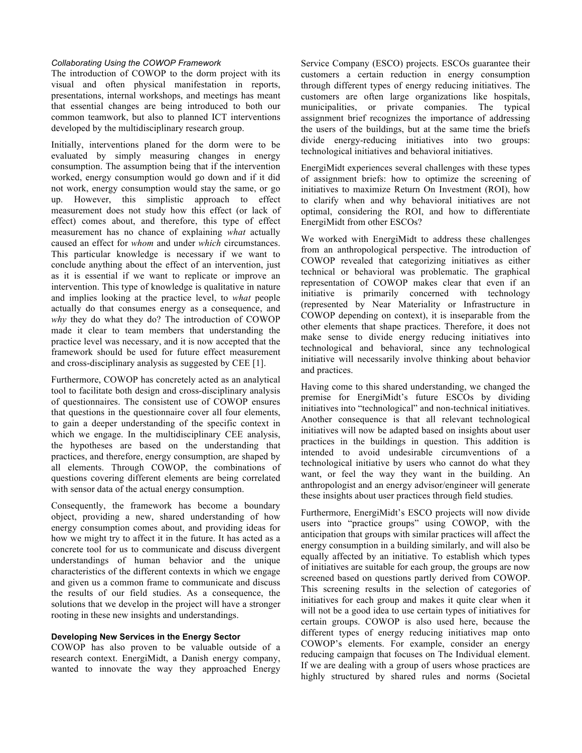#### *Collaborating Using the COWOP Framework*

The introduction of COWOP to the dorm project with its visual and often physical manifestation in reports, presentations, internal workshops, and meetings has meant that essential changes are being introduced to both our common teamwork, but also to planned ICT interventions developed by the multidisciplinary research group.

Initially, interventions planed for the dorm were to be evaluated by simply measuring changes in energy consumption. The assumption being that if the intervention worked, energy consumption would go down and if it did not work, energy consumption would stay the same, or go up. However, this simplistic approach to effect measurement does not study how this effect (or lack of effect) comes about, and therefore, this type of effect measurement has no chance of explaining *what* actually caused an effect for *whom* and under *which* circumstances. This particular knowledge is necessary if we want to conclude anything about the effect of an intervention, just as it is essential if we want to replicate or improve an intervention. This type of knowledge is qualitative in nature and implies looking at the practice level, to *what* people actually do that consumes energy as a consequence, and *why* they do what they do? The introduction of COWOP made it clear to team members that understanding the practice level was necessary, and it is now accepted that the framework should be used for future effect measurement and cross-disciplinary analysis as suggested by CEE [1].

Furthermore, COWOP has concretely acted as an analytical tool to facilitate both design and cross-disciplinary analysis of questionnaires. The consistent use of COWOP ensures that questions in the questionnaire cover all four elements, to gain a deeper understanding of the specific context in which we engage. In the multidisciplinary CEE analysis, the hypotheses are based on the understanding that practices, and therefore, energy consumption, are shaped by all elements. Through COWOP, the combinations of questions covering different elements are being correlated with sensor data of the actual energy consumption.

Consequently, the framework has become a boundary object, providing a new, shared understanding of how energy consumption comes about, and providing ideas for how we might try to affect it in the future. It has acted as a concrete tool for us to communicate and discuss divergent understandings of human behavior and the unique characteristics of the different contexts in which we engage and given us a common frame to communicate and discuss the results of our field studies. As a consequence, the solutions that we develop in the project will have a stronger rooting in these new insights and understandings.

#### **Developing New Services in the Energy Sector**

COWOP has also proven to be valuable outside of a research context. EnergiMidt, a Danish energy company, wanted to innovate the way they approached Energy Service Company (ESCO) projects. ESCOs guarantee their customers a certain reduction in energy consumption through different types of energy reducing initiatives. The customers are often large organizations like hospitals, municipalities, or private companies. The typical assignment brief recognizes the importance of addressing the users of the buildings, but at the same time the briefs divide energy-reducing initiatives into two groups: technological initiatives and behavioral initiatives.

EnergiMidt experiences several challenges with these types of assignment briefs: how to optimize the screening of initiatives to maximize Return On Investment (ROI), how to clarify when and why behavioral initiatives are not optimal, considering the ROI, and how to differentiate EnergiMidt from other ESCOs?

We worked with EnergiMidt to address these challenges from an anthropological perspective. The introduction of COWOP revealed that categorizing initiatives as either technical or behavioral was problematic. The graphical representation of COWOP makes clear that even if an initiative is primarily concerned with technology (represented by Near Materiality or Infrastructure in COWOP depending on context), it is inseparable from the other elements that shape practices. Therefore, it does not make sense to divide energy reducing initiatives into technological and behavioral, since any technological initiative will necessarily involve thinking about behavior and practices.

Having come to this shared understanding, we changed the premise for EnergiMidt's future ESCOs by dividing initiatives into "technological" and non-technical initiatives. Another consequence is that all relevant technological initiatives will now be adapted based on insights about user practices in the buildings in question. This addition is intended to avoid undesirable circumventions of a technological initiative by users who cannot do what they want, or feel the way they want in the building. An anthropologist and an energy advisor/engineer will generate these insights about user practices through field studies.

Furthermore, EnergiMidt's ESCO projects will now divide users into "practice groups" using COWOP, with the anticipation that groups with similar practices will affect the energy consumption in a building similarly, and will also be equally affected by an initiative. To establish which types of initiatives are suitable for each group, the groups are now screened based on questions partly derived from COWOP. This screening results in the selection of categories of initiatives for each group and makes it quite clear when it will not be a good idea to use certain types of initiatives for certain groups. COWOP is also used here, because the different types of energy reducing initiatives map onto COWOP's elements. For example, consider an energy reducing campaign that focuses on The Individual element. If we are dealing with a group of users whose practices are highly structured by shared rules and norms (Societal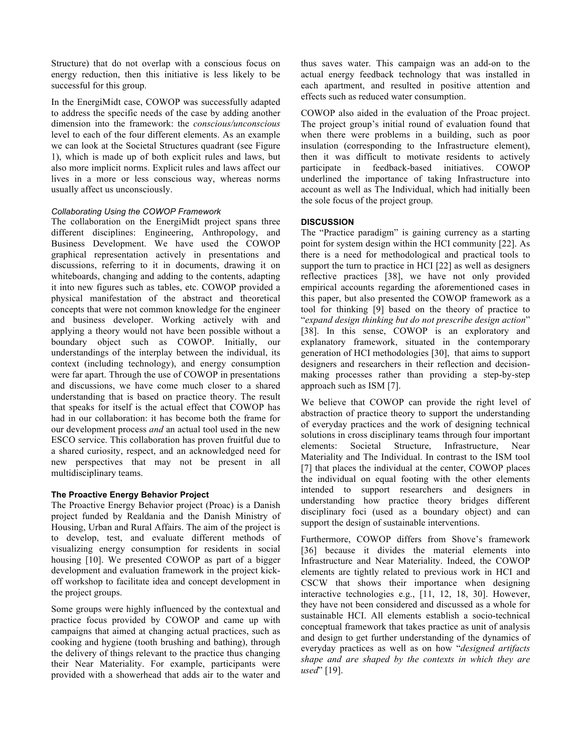Structure) that do not overlap with a conscious focus on energy reduction, then this initiative is less likely to be successful for this group.

In the EnergiMidt case, COWOP was successfully adapted to address the specific needs of the case by adding another dimension into the framework: the *conscious/unconscious* level to each of the four different elements. As an example we can look at the Societal Structures quadrant (see Figure 1), which is made up of both explicit rules and laws, but also more implicit norms. Explicit rules and laws affect our lives in a more or less conscious way, whereas norms usually affect us unconsciously.

#### *Collaborating Using the COWOP Framework*

The collaboration on the EnergiMidt project spans three different disciplines: Engineering, Anthropology, and Business Development. We have used the COWOP graphical representation actively in presentations and discussions, referring to it in documents, drawing it on whiteboards, changing and adding to the contents, adapting it into new figures such as tables, etc. COWOP provided a physical manifestation of the abstract and theoretical concepts that were not common knowledge for the engineer and business developer. Working actively with and applying a theory would not have been possible without a boundary object such as COWOP. Initially, our understandings of the interplay between the individual, its context (including technology), and energy consumption were far apart. Through the use of COWOP in presentations and discussions, we have come much closer to a shared understanding that is based on practice theory. The result that speaks for itself is the actual effect that COWOP has had in our collaboration: it has become both the frame for our development process *and* an actual tool used in the new ESCO service. This collaboration has proven fruitful due to a shared curiosity, respect, and an acknowledged need for new perspectives that may not be present in all multidisciplinary teams.

#### **The Proactive Energy Behavior Project**

The Proactive Energy Behavior project (Proac) is a Danish project funded by Realdania and the Danish Ministry of Housing, Urban and Rural Affairs. The aim of the project is to develop, test, and evaluate different methods of visualizing energy consumption for residents in social housing [10]. We presented COWOP as part of a bigger development and evaluation framework in the project kickoff workshop to facilitate idea and concept development in the project groups.

Some groups were highly influenced by the contextual and practice focus provided by COWOP and came up with campaigns that aimed at changing actual practices, such as cooking and hygiene (tooth brushing and bathing), through the delivery of things relevant to the practice thus changing their Near Materiality. For example, participants were provided with a showerhead that adds air to the water and

thus saves water. This campaign was an add-on to the actual energy feedback technology that was installed in each apartment, and resulted in positive attention and effects such as reduced water consumption.

COWOP also aided in the evaluation of the Proac project. The project group's initial round of evaluation found that when there were problems in a building, such as poor insulation (corresponding to the Infrastructure element), then it was difficult to motivate residents to actively participate in feedback-based initiatives. COWOP underlined the importance of taking Infrastructure into account as well as The Individual, which had initially been the sole focus of the project group.

#### **DISCUSSION**

The "Practice paradigm" is gaining currency as a starting point for system design within the HCI community [22]. As there is a need for methodological and practical tools to support the turn to practice in HCI [22] as well as designers reflective practices [38], we have not only provided empirical accounts regarding the aforementioned cases in this paper, but also presented the COWOP framework as a tool for thinking [9] based on the theory of practice to "*expand design thinking but do not prescribe design action*" [38]. In this sense, COWOP is an exploratory and explanatory framework, situated in the contemporary generation of HCI methodologies [30], that aims to support designers and researchers in their reflection and decisionmaking processes rather than providing a step-by-step approach such as ISM [7].

We believe that COWOP can provide the right level of abstraction of practice theory to support the understanding of everyday practices and the work of designing technical solutions in cross disciplinary teams through four important elements: Societal Structure, Infrastructure, Near Materiality and The Individual. In contrast to the ISM tool [7] that places the individual at the center, COWOP places the individual on equal footing with the other elements intended to support researchers and designers in understanding how practice theory bridges different disciplinary foci (used as a boundary object) and can support the design of sustainable interventions.

Furthermore, COWOP differs from Shove's framework [36] because it divides the material elements into Infrastructure and Near Materiality. Indeed, the COWOP elements are tightly related to previous work in HCI and CSCW that shows their importance when designing interactive technologies e.g., [11, 12, 18, 30]. However, they have not been considered and discussed as a whole for sustainable HCI. All elements establish a socio-technical conceptual framework that takes practice as unit of analysis and design to get further understanding of the dynamics of everyday practices as well as on how "*designed artifacts shape and are shaped by the contexts in which they are used*" [19].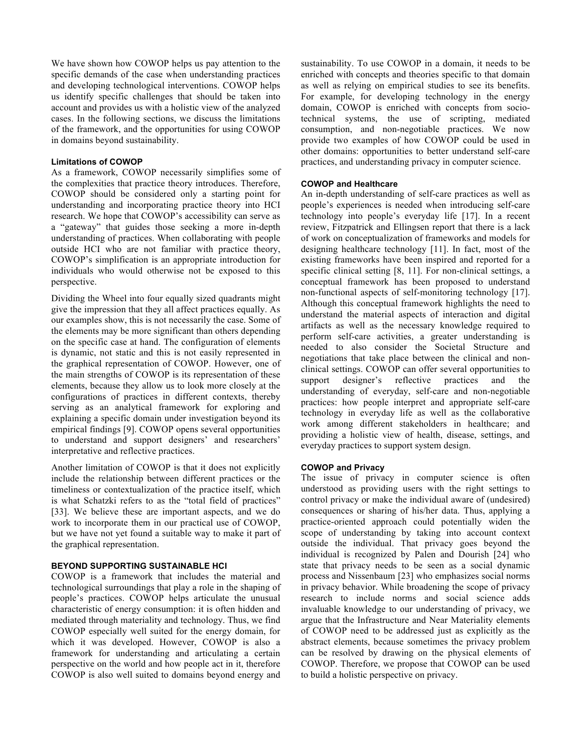We have shown how COWOP helps us pay attention to the specific demands of the case when understanding practices and developing technological interventions. COWOP helps us identify specific challenges that should be taken into account and provides us with a holistic view of the analyzed cases. In the following sections, we discuss the limitations of the framework, and the opportunities for using COWOP in domains beyond sustainability.

#### **Limitations of COWOP**

As a framework, COWOP necessarily simplifies some of the complexities that practice theory introduces. Therefore, COWOP should be considered only a starting point for understanding and incorporating practice theory into HCI research. We hope that COWOP's accessibility can serve as a "gateway" that guides those seeking a more in-depth understanding of practices. When collaborating with people outside HCI who are not familiar with practice theory, COWOP's simplification is an appropriate introduction for individuals who would otherwise not be exposed to this perspective.

Dividing the Wheel into four equally sized quadrants might give the impression that they all affect practices equally. As our examples show, this is not necessarily the case. Some of the elements may be more significant than others depending on the specific case at hand. The configuration of elements is dynamic, not static and this is not easily represented in the graphical representation of COWOP. However, one of the main strengths of COWOP is its representation of these elements, because they allow us to look more closely at the configurations of practices in different contexts, thereby serving as an analytical framework for exploring and explaining a specific domain under investigation beyond its empirical findings [9]. COWOP opens several opportunities to understand and support designers' and researchers' interpretative and reflective practices.

Another limitation of COWOP is that it does not explicitly include the relationship between different practices or the timeliness or contextualization of the practice itself, which is what Schatzki refers to as the "total field of practices" [33]. We believe these are important aspects, and we do work to incorporate them in our practical use of COWOP, but we have not yet found a suitable way to make it part of the graphical representation.

# **BEYOND SUPPORTING SUSTAINABLE HCI**

COWOP is a framework that includes the material and technological surroundings that play a role in the shaping of people's practices. COWOP helps articulate the unusual characteristic of energy consumption: it is often hidden and mediated through materiality and technology. Thus, we find COWOP especially well suited for the energy domain, for which it was developed. However, COWOP is also a framework for understanding and articulating a certain perspective on the world and how people act in it, therefore COWOP is also well suited to domains beyond energy and sustainability. To use COWOP in a domain, it needs to be enriched with concepts and theories specific to that domain as well as relying on empirical studies to see its benefits. For example, for developing technology in the energy domain, COWOP is enriched with concepts from sociotechnical systems, the use of scripting, mediated consumption, and non-negotiable practices. We now provide two examples of how COWOP could be used in other domains: opportunities to better understand self-care practices, and understanding privacy in computer science.

### **COWOP and Healthcare**

An in-depth understanding of self-care practices as well as people's experiences is needed when introducing self-care technology into people's everyday life [17]. In a recent review, Fitzpatrick and Ellingsen report that there is a lack of work on conceptualization of frameworks and models for designing healthcare technology [11]. In fact, most of the existing frameworks have been inspired and reported for a specific clinical setting [8, 11]. For non-clinical settings, a conceptual framework has been proposed to understand non-functional aspects of self-monitoring technology [17]. Although this conceptual framework highlights the need to understand the material aspects of interaction and digital artifacts as well as the necessary knowledge required to perform self-care activities, a greater understanding is needed to also consider the Societal Structure and negotiations that take place between the clinical and nonclinical settings. COWOP can offer several opportunities to support designer's reflective practices and the understanding of everyday, self-care and non-negotiable practices: how people interpret and appropriate self-care technology in everyday life as well as the collaborative work among different stakeholders in healthcare; and providing a holistic view of health, disease, settings, and everyday practices to support system design.

#### **COWOP and Privacy**

The issue of privacy in computer science is often understood as providing users with the right settings to control privacy or make the individual aware of (undesired) consequences or sharing of his/her data. Thus, applying a practice-oriented approach could potentially widen the scope of understanding by taking into account context outside the individual. That privacy goes beyond the individual is recognized by Palen and Dourish [24] who state that privacy needs to be seen as a social dynamic process and Nissenbaum [23] who emphasizes social norms in privacy behavior. While broadening the scope of privacy research to include norms and social science adds invaluable knowledge to our understanding of privacy, we argue that the Infrastructure and Near Materiality elements of COWOP need to be addressed just as explicitly as the abstract elements, because sometimes the privacy problem can be resolved by drawing on the physical elements of COWOP. Therefore, we propose that COWOP can be used to build a holistic perspective on privacy.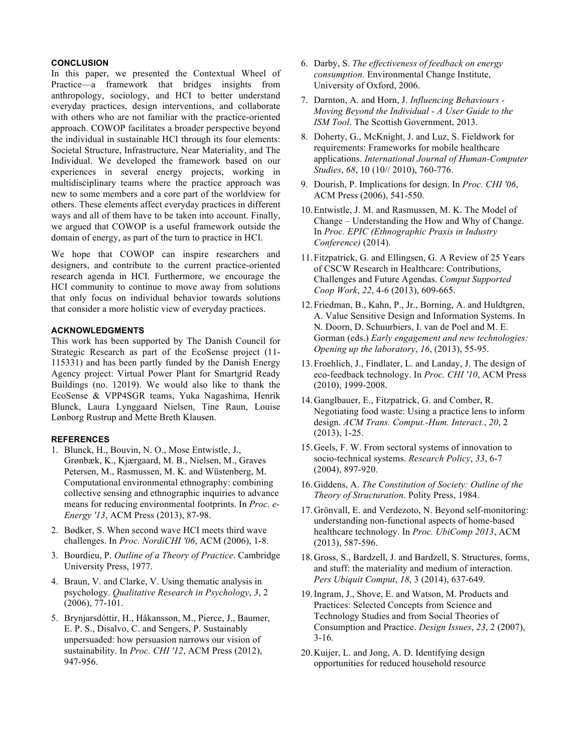#### **CONCLUSION**

In this paper, we presented the Contextual Wheel of Practice—a framework that bridges insights from anthropology, sociology, and HCI to better understand everyday practices, design interventions, and collaborate with others who are not familiar with the practice-oriented approach. COWOP facilitates a broader perspective beyond the individual in sustainable HCI through its four elements: Societal Structure, Infrastructure, Near Materiality, and The Individual. We developed the framework based on our experiences in several energy projects, working in multidisciplinary teams where the practice approach was new to some members and a core part of the worldview for others. These elements affect everyday practices in different ways and all of them have to be taken into account. Finally, we argued that COWOP is a useful framework outside the domain of energy, as part of the turn to practice in HCI.

We hope that COWOP can inspire researchers and designers, and contribute to the current practice-oriented research agenda in HCI. Furthermore, we encourage the HCI community to continue to move away from solutions that only focus on individual behavior towards solutions that consider a more holistic view of everyday practices.

#### **ACKNOWLEDGMENTS**

This work has been supported by The Danish Council for Strategic Research as part of the EcoSense project (11- 115331) and has been partly funded by the Danish Energy Agency project: Virtual Power Plant for Smartgrid Ready Buildings (no. 12019). We would also like to thank the EcoSense & VPP4SGR teams, Yuka Nagashima, Henrik Blunck, Laura Lynggaard Nielsen, Tine Raun, Louise Lønborg Rustrup and Mette Breth Klausen.

#### **REFERENCES**

- 1. Blunck, H., Bouvin, N. O., Mose Entwistle, J., Grønbæk, K., Kjærgaard, M. B., Nielsen, M., Graves Petersen, M., Rasmussen, M. K. and Wüstenberg, M. Computational environmental ethnography: combining collective sensing and ethnographic inquiries to advance means for reducing environmental footprints. In *Proc. e-Energy '13*, ACM Press (2013), 87-98.
- 2. Bødker, S. When second wave HCI meets third wave challenges. In *Proc. NordiCHI '06*, ACM (2006), 1-8.
- 3. Bourdieu, P. *Outline of a Theory of Practice*. Cambridge University Press, 1977.
- 4. Braun, V. and Clarke, V. Using thematic analysis in psychology. *Qualitative Research in Psychology*, *3*, 2 (2006), 77-101.
- 5. Brynjarsdóttir, H., Håkansson, M., Pierce, J., Baumer, E. P. S., Disalvo, C. and Sengers, P. Sustainably unpersuaded: how persuasion narrows our vision of sustainability. In *Proc. CHI '12*, ACM Press (2012), 947-956.
- 6. Darby, S. *The effectiveness of feedback on energy consumption*. Environmental Change Institute, University of Oxford, 2006.
- 7. Darnton, A. and Horn, J. *Influencing Behaviours - Moving Beyond the Individual - A User Guide to the ISM Tool*. The Scottish Government, 2013.
- 8. Doherty, G., McKnight, J. and Luz, S. Fieldwork for requirements: Frameworks for mobile healthcare applications. *International Journal of Human-Computer Studies*, *68*, 10 (10// 2010), 760-776.
- 9. Dourish, P. Implications for design. In *Proc. CHI '06*, ACM Press (2006), 541-550.
- 10.Entwistle, J. M. and Rasmussen, M. K. The Model of Change – Understanding the How and Why of Change. In *Proc. EPIC (Ethnographic Praxis in Industry Conference)* (2014).
- 11.Fitzpatrick, G. and Ellingsen, G. A Review of 25 Years of CSCW Research in Healthcare: Contributions, Challenges and Future Agendas. *Comput Supported Coop Work*, *22*, 4-6 (2013), 609-665.
- 12.Friedman, B., Kahn, P., Jr., Borning, A. and Huldtgren, A. Value Sensitive Design and Information Systems. In N. Doorn, D. Schuurbiers, I. van de Poel and M. E. Gorman (eds.) *Early engagement and new technologies: Opening up the laboratory*, *16*, (2013), 55-95.
- 13.Froehlich, J., Findlater, L. and Landay, J. The design of eco-feedback technology. In *Proc. CHI '10*, ACM Press (2010), 1999-2008.
- 14.Ganglbauer, E., Fitzpatrick, G. and Comber, R. Negotiating food waste: Using a practice lens to inform design. *ACM Trans. Comput.-Hum. Interact.*, *20*, 2 (2013), 1-25.
- 15.Geels, F. W. From sectoral systems of innovation to socio-technical systems. *Research Policy*, *33*, 6-7 (2004), 897-920.
- 16.Giddens, A. *The Constitution of Society: Outline of the Theory of Structuration*. Polity Press, 1984.
- 17.Grönvall, E. and Verdezoto, N. Beyond self-monitoring: understanding non-functional aspects of home-based healthcare technology. In *Proc. UbiComp 2013*, ACM (2013), 587-596.
- 18.Gross, S., Bardzell, J. and Bardzell, S. Structures, forms, and stuff: the materiality and medium of interaction. *Pers Ubiquit Comput*, *18*, 3 (2014), 637-649.
- 19.Ingram, J., Shove, E. and Watson, M. Products and Practices: Selected Concepts from Science and Technology Studies and from Social Theories of Consumption and Practice. *Design Issues*, *23*, 2 (2007), 3-16.
- 20.Kuijer, L. and Jong, A. D. Identifying design opportunities for reduced household resource